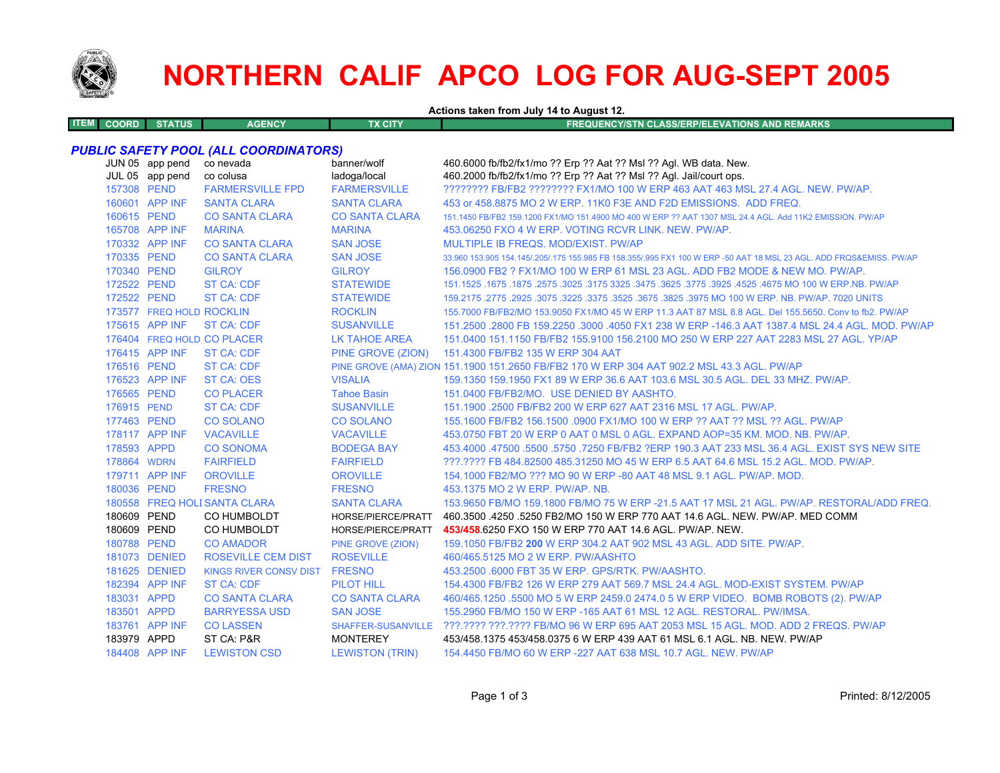

# **NORTHERN CALIF APCO LOG FOR AUG-SEPT 2005**

**Actions taken from July 14 to August 12.**

| <b>ITEM COORD</b><br><b>STATUS</b><br><b>AGENCY</b><br>TX CITY'<br><b>FREQUENCY/STN CLASS/ERP/ELEVATIONS AND REMARKS</b> |  |
|--------------------------------------------------------------------------------------------------------------------------|--|
|                                                                                                                          |  |

## *PUBLIC SAFETY POOL (ALL COORDINATORS)*

|             | JUN 05 app pend<br>JUL 05 app pend | co nevada<br>co colusa        | banner/wolf<br>ladoga/local | 460.6000 fb/fb2/fx1/mo ?? Erp ?? Aat ?? Msl ?? Agl. WB data. New.<br>460.2000 fb/fb2/fx1/mo ?? Erp ?? Aat ?? Msl ?? Agl. Jail/court ops. |
|-------------|------------------------------------|-------------------------------|-----------------------------|------------------------------------------------------------------------------------------------------------------------------------------|
| 157308 PEND |                                    | <b>FARMERSVILLE FPD</b>       | <b>FARMERSVILLE</b>         | ???????? FB/FB2 ???????? FX1/MO 100 W ERP 463 AAT 463 MSL 27.4 AGL. NEW. PW/AP.                                                          |
|             | 160601 APP INF                     | <b>SANTA CLARA</b>            | <b>SANTA CLARA</b>          | 453 or 458,8875 MO 2 W ERP, 11K0 F3E AND F2D EMISSIONS. ADD FREQ.                                                                        |
| 160615 PEND |                                    | <b>CO SANTA CLARA</b>         | <b>CO SANTA CLARA</b>       | 151.1450 FB/FB2 159.1200 FX1/MO 151.4900 MO 400 W ERP ?? AAT 1307 MSL 24.4 AGL. Add 11K2 EMISSION, PW/AP                                 |
|             | 165708 APP INF                     | <b>MARINA</b>                 | <b>MARINA</b>               | 453.06250 FXO 4 W ERP. VOTING RCVR LINK. NEW. PW/AP.                                                                                     |
|             | 170332 APP INF                     | <b>CO SANTA CLARA</b>         | <b>SAN JOSE</b>             | MULTIPLE IB FREQS. MOD/EXIST. PW/AP                                                                                                      |
| 170335 PEND |                                    | <b>CO SANTA CLARA</b>         | <b>SAN JOSE</b>             | 33.960 153.905 154.145/.205/.175 155.985 FB 158.355/.995 FX1 100 W ERP -50 AAT 18 MSL 23 AGL. ADD FRQS&EMISS. PW/AP                      |
| 170340 PEND |                                    | <b>GILROY</b>                 | <b>GILROY</b>               | 156,0900 FB2 ? FX1/MO 100 W ERP 61 MSL 23 AGL. ADD FB2 MODE & NEW MO, PW/AP.                                                             |
| 172522 PEND |                                    | <b>ST CA: CDF</b>             | <b>STATEWIDE</b>            | 151.1525 .1675 .1675 .3025 .3175 .3625 .3775 .3625 .3775 .3925 .3775 .3925 .4675 .1675 .1675 .1675 .                                     |
| 172522 PEND |                                    | <b>ST CA: CDF</b>             | <b>STATEWIDE</b>            | 159.2175 .2775 .2925 .3075 .3225 .3675 .3675 .3825 .3975 MO 100 W ERP. NB. PW/AP. 7020 UNITS                                             |
|             | 173577 FREQ HOLD ROCKLIN           |                               | <b>ROCKLIN</b>              | 155.7000 FB/FB2/MO 153.9050 FX1/MO 45 W ERP 11.3 AAT 87 MSL 8.8 AGL. Del 155.5650. Conv to fb2. PW/AP                                    |
|             | 175615 APP INF                     | <b>ST CA: CDF</b>             | <b>SUSANVILLE</b>           | 151.2500 .2800 FB 159.2250 .3000 .4050 FX1 238 W ERP -146.3 AAT 1387.4 MSL 24.4 AGL, MOD, PW/AP                                          |
|             |                                    | 176404 FREQ HOLD CO PLACER    | <b>LK TAHOE AREA</b>        | 151.0400 151.1150 FB/FB2 155.9100 156.2100 MO 250 W ERP 227 AAT 2283 MSL 27 AGL. YP/AP                                                   |
|             | 176415 APP INF                     | <b>ST CA: CDF</b>             |                             | PINE GROVE (ZION) 151.4300 FB/FB2 135 W ERP 304 AAT                                                                                      |
| 176516 PEND |                                    | <b>ST CA: CDF</b>             |                             | PINE GROVE (AMA) ZION 151.1900 151.2650 FB/FB2 170 W ERP 304 AAT 902.2 MSL 43.3 AGL. PW/AP                                               |
|             | 176523 APP INF                     | <b>ST CA: OES</b>             | <b>VISALIA</b>              | 159.1350 159.1950 FX1 89 W ERP 36.6 AAT 103.6 MSL 30.5 AGL. DEL 33 MHZ. PW/AP.                                                           |
| 176565 PEND |                                    | <b>CO PLACER</b>              | <b>Tahoe Basin</b>          | 151.0400 FB/FB2/MO. USE DENIED BY AASHTO.                                                                                                |
| 176915 PEND |                                    | <b>ST CA: CDF</b>             | <b>SUSANVILLE</b>           | 151.1900 .2500 FB/FB2 200 W ERP 627 AAT 2316 MSL 17 AGL, PW/AP.                                                                          |
| 177463 PEND |                                    | <b>CO SOLANO</b>              | <b>CO SOLANO</b>            | 155.1600 FB/FB2 156.1500 .0900 FX1/MO 100 W ERP ?? AAT ?? MSL ?? AGL. PW/AP                                                              |
|             | 178117 APP INF                     | <b>VACAVILLE</b>              | <b>VACAVILLE</b>            | 453.0750 FBT 20 W ERP 0 AAT 0 MSL 0 AGL. EXPAND AOP=35 KM, MOD, NB, PW/AP,                                                               |
| 178593 APPD |                                    | <b>CO SONOMA</b>              | <b>BODEGA BAY</b>           | 453,4000 .47500 .5500 .5750 .7250 FB/FB2 ?ERP 190.3 AAT 233 MSL 36.4 AGL. EXIST SYS NEW SITE                                             |
| 178864 WDRN |                                    | <b>FAIRFIELD</b>              | <b>FAIRFIELD</b>            | ???.???? FB 484.82500 485.31250 MO 45 W ERP 6.5 AAT 64.6 MSL 15.2 AGL. MOD. PW/AP.                                                       |
|             | 179711 APP INF                     | <b>OROVILLE</b>               | <b>OROVILLE</b>             | 154,1000 FB2/MO ??? MO 90 W ERP -80 AAT 48 MSL 9.1 AGL, PW/AP, MOD.                                                                      |
| 180036 PEND |                                    | <b>FRESNO</b>                 | <b>FRESNO</b>               | 453.1375 MO 2 W ERP. PW/AP. NB.                                                                                                          |
|             |                                    | 180558 FREQ HOLI SANTA CLARA  | <b>SANTA CLARA</b>          | 153,9650 FB/MO 159,1800 FB/MO 75 W ERP -21.5 AAT 17 MSL 21 AGL, PW/AP, RESTORAL/ADD FREQ.                                                |
| 180609 PEND |                                    | CO HUMBOLDT                   | HORSE/PIERCE/PRATT          | 460.3500 .4250 .5250 FB2/MO 150 W ERP 770 AAT 14.6 AGL, NEW, PW/AP, MED COMM                                                             |
| 180609 PEND |                                    | <b>CO HUMBOLDT</b>            | HORSE/PIERCE/PRATT          | 453/458.6250 FXO 150 W ERP 770 AAT 14.6 AGL. PW/AP. NEW.                                                                                 |
| 180788 PEND |                                    | <b>CO AMADOR</b>              | PINE GROVE (ZION)           | 159.1050 FB/FB2 200 W ERP 304.2 AAT 902 MSL 43 AGL, ADD SITE, PW/AP.                                                                     |
|             | 181073 DENIED                      | <b>ROSEVILLE CEM DIST</b>     | <b>ROSEVILLE</b>            | 460/465.5125 MO 2 W ERP. PW/AASHTO                                                                                                       |
|             | 181625 DENIED                      | <b>KINGS RIVER CONSV DIST</b> | <b>FRESNO</b>               | 453.2500 .6000 FBT 35 W ERP. GPS/RTK. PW/AASHTO.                                                                                         |
|             | 182394 APP INF                     | <b>ST CA: CDF</b>             | <b>PILOT HILL</b>           | 154.4300 FB/FB2 126 W ERP 279 AAT 569.7 MSL 24.4 AGL. MOD-EXIST SYSTEM. PW/AP                                                            |
| 183031 APPD |                                    | <b>CO SANTA CLARA</b>         | <b>CO SANTA CLARA</b>       | 460/465.1250 .5500 MO 5 W ERP 2459.0 2474.0 5 W ERP VIDEO. BOMB ROBOTS (2). PW/AP                                                        |
| 183501 APPD |                                    | <b>BARRYESSA USD</b>          | <b>SAN JOSE</b>             | 155,2950 FB/MO 150 W ERP -165 AAT 61 MSL 12 AGL, RESTORAL, PW/IMSA.                                                                      |
|             | 183761 APP INF                     | <b>CO LASSEN</b>              |                             | SHAFFER-SUSANVILLE ???.???? ???.???? FB/MO 96 W ERP 695 AAT 2053 MSL 15 AGL, MOD, ADD 2 FREQS, PW/AP                                     |
| 183979 APPD |                                    | ST CA: P&R                    | <b>MONTEREY</b>             | 453/458 1375 453/458 0375 6 W ERP 439 AAT 61 MSL 6.1 AGL, NB, NEW, PW/AP                                                                 |
|             | 184408 APP INF                     | <b>LEWISTON CSD</b>           | <b>LEWISTON (TRIN)</b>      | 154,4450 FB/MO 60 W ERP -227 AAT 638 MSL 10.7 AGL, NEW, PW/AP                                                                            |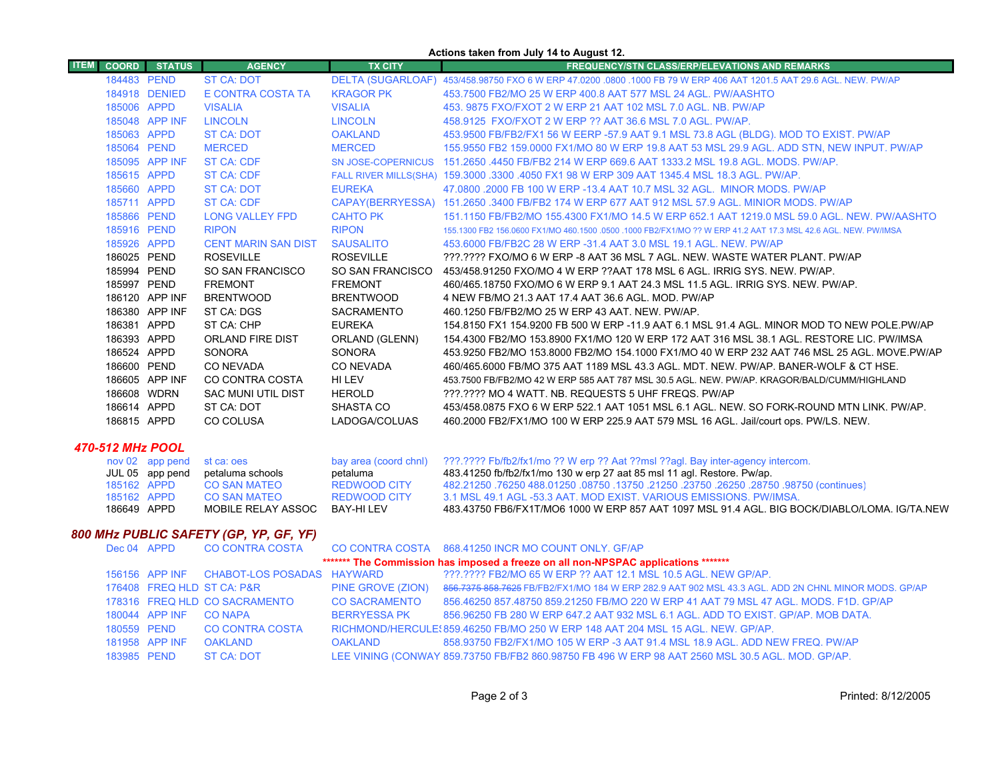|                  |                                        |                            |                                           |                                         | Actions taken from July 14 to August 12.                                                                                                                           |
|------------------|----------------------------------------|----------------------------|-------------------------------------------|-----------------------------------------|--------------------------------------------------------------------------------------------------------------------------------------------------------------------|
| <b>ITEM</b>      | <b>COORD</b>                           | <b>STATUS</b>              | <b>AGENCY</b>                             | <b>TX CITY</b>                          | <b>FREQUENCY/STN CLASS/ERP/ELEVATIONS AND REMARKS</b>                                                                                                              |
|                  |                                        | 184483 PEND                | <b>ST CA: DOT</b>                         |                                         | DELTA (SUGARLOAF) 453/458.98750 FXO 6 W ERP 47.0200 .0800 .1000 FB 79 W ERP 406 AAT 1201.5 AAT 29.6 AGL. NEW. PW/AP                                                |
|                  |                                        | 184918 DENIED              | E CONTRA COSTA TA                         | <b>KRAGOR PK</b>                        | 453,7500 FB2/MO 25 W ERP 400.8 AAT 577 MSL 24 AGL. PW/AASHTO                                                                                                       |
|                  |                                        | 185006 APPD                | <b>VISALIA</b>                            | <b>VISALIA</b>                          | 453, 9875 FXO/FXOT 2 W ERP 21 AAT 102 MSL 7.0 AGL, NB, PW/AP                                                                                                       |
|                  |                                        | 185048 APP INF             | <b>LINCOLN</b>                            | <b>LINCOLN</b>                          | 458.9125 FXO/FXOT 2 W ERP ?? AAT 36.6 MSL 7.0 AGL, PW/AP.                                                                                                          |
|                  |                                        | 185063 APPD                | <b>ST CA: DOT</b>                         | <b>OAKLAND</b>                          | 453.9500 FB/FB2/FX1 56 W EERP -57.9 AAT 9.1 MSL 73.8 AGL (BLDG). MOD TO EXIST. PW/AP                                                                               |
|                  |                                        | 185064 PEND                | <b>MERCED</b>                             | <b>MERCED</b>                           | 155,9550 FB2 159,0000 FX1/MO 80 W ERP 19.8 AAT 53 MSL 29.9 AGL, ADD STN, NEW INPUT, PW/AP                                                                          |
|                  |                                        | 185095 APP INF             | <b>ST CA: CDF</b>                         | <b>SN JOSE-COPERNICUS</b>               | 151,2650,4450 FB/FB2 214 W ERP 669.6 AAT 1333.2 MSL 19.8 AGL, MODS, PW/AP,                                                                                         |
|                  |                                        | 185615 APPD                | <b>ST CA: CDF</b>                         |                                         | FALL RIVER MILLS(SHA) 159.3000 .3300 .4050 FX1 98 W ERP 309 AAT 1345.4 MSL 18.3 AGL. PW/AP.                                                                        |
|                  |                                        | 185660 APPD                | <b>ST CA: DOT</b>                         | <b>EUREKA</b>                           | 47.0800 .2000 FB 100 W ERP -13.4 AAT 10.7 MSL 32 AGL. MINOR MODS. PW/AP                                                                                            |
|                  |                                        | 185711 APPD                | <b>ST CA: CDF</b>                         |                                         | CAPAY(BERRYESSA) 151.2650 .3400 FB/FB2 174 W ERP 677 AAT 912 MSL 57.9 AGL. MINIOR MODS. PW/AP                                                                      |
|                  |                                        | 185866 PEND                | <b>LONG VALLEY FPD</b>                    | <b>CAHTO PK</b>                         | 151.1150 FB/FB2/MO 155.4300 FX1/MO 14.5 W ERP 652.1 AAT 1219.0 MSL 59.0 AGL. NEW. PW/AASHTO                                                                        |
|                  |                                        | 185916 PEND                | <b>RIPON</b>                              | <b>RIPON</b>                            | 155,1300 FB2 156,0600 FX1/MO 460,1500 ,0500 ,1000 FB2/FX1/MO ?? W ERP 41.2 AAT 17.3 MSL 42.6 AGL, NEW, PW/IMSA                                                     |
|                  |                                        | 185926 APPD                | <b>CENT MARIN SAN DIST</b>                | <b>SAUSALITO</b>                        | 453,6000 FB/FB2C 28 W ERP -31.4 AAT 3.0 MSL 19.1 AGL, NEW, PW/AP                                                                                                   |
|                  |                                        | 186025 PEND                | <b>ROSEVILLE</b>                          | <b>ROSEVILLE</b>                        | ???.???? FXO/MO 6 W ERP -8 AAT 36 MSL 7 AGL. NEW. WASTE WATER PLANT. PW/AP                                                                                         |
|                  |                                        | 185994 PEND                | SO SAN FRANCISCO                          | SO SAN FRANCISCO                        | 453/458.91250 FXO/MO 4 W ERP ??AAT 178 MSL 6 AGL. IRRIG SYS. NEW. PW/AP.                                                                                           |
|                  |                                        | 185997 PEND                | <b>FREMONT</b>                            | <b>FREMONT</b>                          | 460/465.18750 FXO/MO 6 W ERP 9.1 AAT 24.3 MSL 11.5 AGL, IRRIG SYS, NEW, PW/AP,                                                                                     |
|                  |                                        | 186120 APP INF             | <b>BRENTWOOD</b>                          | <b>BRENTWOOD</b>                        | 4 NEW FB/MO 21.3 AAT 17.4 AAT 36.6 AGL, MOD, PW/AP                                                                                                                 |
|                  |                                        | 186380 APP INF             | ST CA: DGS                                | <b>SACRAMENTO</b>                       | 460.1250 FB/FB2/MO 25 W ERP 43 AAT, NEW, PW/AP.                                                                                                                    |
|                  |                                        | 186381 APPD                | ST CA: CHP                                | <b>EUREKA</b>                           | 154.8150 FX1 154.9200 FB 500 W ERP -11.9 AAT 6.1 MSL 91.4 AGL. MINOR MOD TO NEW POLE PW/AP                                                                         |
|                  |                                        | 186393 APPD                | ORLAND FIRE DIST                          | ORLAND (GLENN)                          | 154.4300 FB2/MO 153.8900 FX1/MO 120 W ERP 172 AAT 316 MSL 38.1 AGL, RESTORE LIC, PW/IMSA                                                                           |
|                  |                                        | 186524 APPD                | <b>SONORA</b>                             | <b>SONORA</b>                           | 453.9250 FB2/MO 153.8000 FB2/MO 154.1000 FX1/MO 40 W ERP 232 AAT 746 MSL 25 AGL. MOVE PW/AP                                                                        |
|                  |                                        | 186600 PEND                | <b>CO NEVADA</b>                          | <b>CO NEVADA</b>                        | 460/465.6000 FB/MO 375 AAT 1189 MSL 43.3 AGL, MDT, NEW, PW/AP, BANER-WOLF & CT HSE.                                                                                |
|                  |                                        | 186605 APP INF             | CO CONTRA COSTA                           | HI LEV                                  | 453.7500 FB/FB2/MO 42 W ERP 585 AAT 787 MSL 30.5 AGL. NEW. PW/AP. KRAGOR/BALD/CUMM/HIGHLAND                                                                        |
|                  |                                        | 186608 WDRN                | <b>SAC MUNI UTIL DIST</b>                 | <b>HEROLD</b>                           | ???.???? MO 4 WATT. NB. REQUESTS 5 UHF FREQS. PW/AP                                                                                                                |
|                  |                                        | 186614 APPD                | ST CA: DOT                                | SHASTA CO                               | 453/458.0875 FXO 6 W ERP 522.1 AAT 1051 MSL 6.1 AGL. NEW. SO FORK-ROUND MTN LINK. PW/AP.                                                                           |
|                  |                                        | 186815 APPD                | <b>CO COLUSA</b>                          | LADOGA/COLUAS                           | 460.2000 FB2/FX1/MO 100 W ERP 225.9 AAT 579 MSL 16 AGL. Jail/court ops. PW/LS. NEW.                                                                                |
| 470-512 MHz POOL |                                        |                            |                                           |                                         |                                                                                                                                                                    |
|                  |                                        | nov 02 app pend            | st ca: oes                                | bay area (coord chnl)                   | ???.???? Fb/fb2/fx1/mo ?? W erp ?? Aat ??msl ??aql. Bay inter-agency intercom.                                                                                     |
|                  |                                        | JUL 05 app pend            | petaluma schools                          | petaluma                                | 483.41250 fb/fb2/fx1/mo 130 w erp 27 aat 85 msl 11 agl. Restore. Pw/ap.                                                                                            |
|                  |                                        | 185162 APPD                | <b>CO SAN MATEO</b>                       | <b>REDWOOD CITY</b>                     | 482.21250 .76250 488.01250 .08750 .13750 .21250 .23750 .26250 .28750 .98750 (continues)                                                                            |
|                  |                                        | 185162 APPD<br>186649 APPD | <b>CO SAN MATEO</b><br>MOBILE RELAY ASSOC | <b>REDWOOD CITY</b><br><b>BAY-HILEV</b> | 3.1 MSL 49.1 AGL -53.3 AAT. MOD EXIST. VARIOUS EMISSIONS. PW/IMSA.<br>483.43750 FB6/FX1T/MO6 1000 W ERP 857 AAT 1097 MSL 91.4 AGL. BIG BOCK/DIABLO/LOMA. IG/TA.NEW |
|                  |                                        |                            |                                           |                                         |                                                                                                                                                                    |
|                  | $0.00$ multiplies capety (CD VD CF VF) |                            |                                           |                                         |                                                                                                                                                                    |

#### *800 MHz PUBLIC SAFETY (GP, YP, GF, YF)*

| Dec 04 APPD                                                                        |                | CO CONTRA COSTA               |                      | CO CONTRA COSTA 868.41250 INCR MO COUNT ONLY. GF/AP                                                 |  |
|------------------------------------------------------------------------------------|----------------|-------------------------------|----------------------|-----------------------------------------------------------------------------------------------------|--|
| ******* The Commission has imposed a freeze on all non-NPSPAC applications ******* |                |                               |                      |                                                                                                     |  |
|                                                                                    | 156156 APP INF | CHABOT-LOS POSADAS HAYWARD    |                      | ???.???? FB2/MO 65 W ERP ?? AAT 12.1 MSL 10.5 AGL. NEW GP/AP.                                       |  |
|                                                                                    |                | 176408 FREQ HLD ST CA: P&R    | PINE GROVE (ZION)    | 856.7375 858.7625 FB/FB2/FX1/MO 184 W ERP 282.9 AAT 902 MSL 43.3 AGL, ADD 2N CHNL MINOR MODS, GP/AP |  |
|                                                                                    |                | 178316 FREQ HLD CO SACRAMENTO | <b>CO SACRAMENTO</b> | 856.46250 857.48750 859.21250 FB/MO 220 W ERP 41 AAT 79 MSL 47 AGL. MODS, F1D, GP/AP                |  |
|                                                                                    | 180044 APP INF | CO NAPA                       | <b>BERRYESSA PK</b>  | 856,96250 FB 280 W ERP 647.2 AAT 932 MSL 6.1 AGL, ADD TO EXIST, GP/AP, MOB DATA,                    |  |
|                                                                                    | 180559 PEND    | <b>CO CONTRA COSTA</b>        |                      | RICHMOND/HERCULE: 859.46250 FB/MO 250 W ERP 148 AAT 204 MSL 15 AGL. NEW. GP/AP.                     |  |
|                                                                                    | 181958 APP INF | <b>OAKLAND</b>                | OAKLAND              | 858,93750 FB2/FX1/MO 105 W ERP -3 AAT 91.4 MSL 18.9 AGL, ADD NEW FREQ, PW/AP                        |  |
| 183985 PEND                                                                        |                | ST CA: NOT                    |                      | LEE VINING (CONWAY 859.73750 FB/FB2 860.98750 FB 496 W ERP 98 AAT 2560 MSL 30.5 AGL. MOD. GP/AP.    |  |